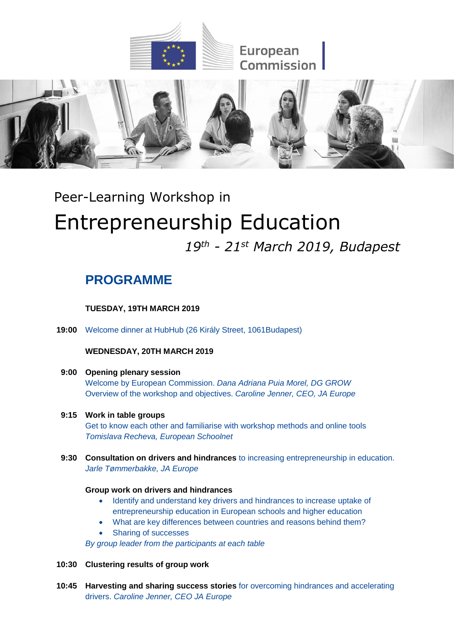



# Peer-Learning Workshop in Entrepreneurship Education

# *19th - 21st March 2019, Budapest*

# **PROGRAMME**

**TUESDAY, 19TH MARCH 2019**

**19:00** Welcome dinner at HubHub (26 Király Street, 1061Budapest)

# **WEDNESDAY, 20TH MARCH 2019**

## **9:00 Opening plenary session** Welcome by European Commission. *Dana Adriana Puia Morel, DG GROW*

Overview of the workshop and objectives. *Caroline Jenner, CEO, JA Europe*

# **9:15 Work in table groups**

Get to know each other and familiarise with workshop methods and online tools *Tomislava Recheva, European Schoolnet*

**9:30 Consultation on drivers and hindrances** to increasing entrepreneurship in education. *Jarle Tømmerbakke, JA Europe*

# **Group work on drivers and hindrances**

- Identify and understand key drivers and hindrances to increase uptake of entrepreneurship education in European schools and higher education
- What are key differences between countries and reasons behind them?
- Sharing of successes

*By group leader from the participants at each table*

- **10:30 Clustering results of group work**
- **10:45 Harvesting and sharing success stories** for overcoming hindrances and accelerating drivers. *Caroline Jenner, CEO JA Europe*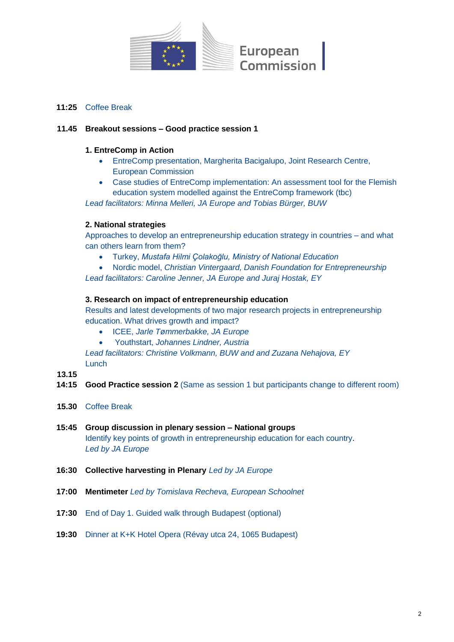

## **11:25** Coffee Break

#### **11.45 Breakout sessions – Good practice session 1**

#### **1. EntreComp in Action**

- EntreComp presentation, Margherita Bacigalupo, Joint Research Centre, European Commission
- Case studies of EntreComp implementation: An assessment tool for the Flemish education system modelled against the EntreComp framework (tbc)

*Lead facilitators: Minna Melleri, JA Europe and Tobias Bürger, BUW*

#### **2. National strategies**

Approaches to develop an entrepreneurship education strategy in countries – and what can others learn from them?

- Turkey, *Mustafa Hilmi Çolakoğlu, Ministry of National Education*
- Nordic model, *Christian Vintergaard, Danish Foundation for Entrepreneurship*

*Lead facilitators: Caroline Jenner, JA Europe and Juraj Hostak, EY*

#### **3. Research on impact of entrepreneurship education**

Results and latest developments of two major research projects in entrepreneurship education. What drives growth and impact?

- ICEE, *Jarle Tømmerbakke, JA Europe*
- Youthstart, *Johannes Lindner, Austria*

*Lead facilitators: Christine Volkmann, BUW and and Zuzana Nehajova, EY* **Lunch** 

#### **13.15**

- **14:15 Good Practice session 2** (Same as session 1 but participants change to different room)
- **15.30** Coffee Break
- **15:45 Group discussion in plenary session – National groups**  Identify key points of growth in entrepreneurship education for each country. *Led by JA Europe*
- **16:30 Collective harvesting in Plenary** *Led by JA Europe*
- **17:00 Mentimeter** *Led by Tomislava Recheva, European Schoolnet*
- **17:30** End of Day 1. Guided walk through Budapest (optional)
- **19:30** Dinner at K+K Hotel Opera (Révay utca 24, 1065 Budapest)